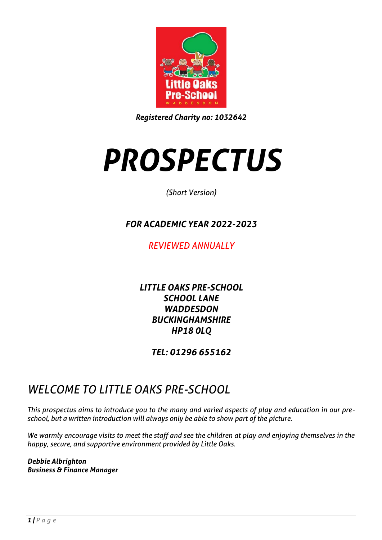

*Registered Charity no: 1032642*

# *PROSPECTUS*

*(Short Version)*

## *FOR ACADEMIC YEAR 2022-2023*

*REVIEWED ANNUALLY*

*LITTLE OAKS PRE-SCHOOL SCHOOL LANE WADDESDON BUCKINGHAMSHIRE HP18 0LQ*

*TEL: 01296 655162*

## *WELCOME TO LITTLE OAKS PRE-SCHOOL*

*This prospectus aims to introduce you to the many and varied aspects of play and education in our preschool, but a written introduction will always only be able to show part of the picture.*

*We warmly encourage visits to meet the staff and see the children at play and enjoying themselves in the happy, secure, and supportive environment provided by Little Oaks.*

*Debbie Albrighton Business & Finance Manager*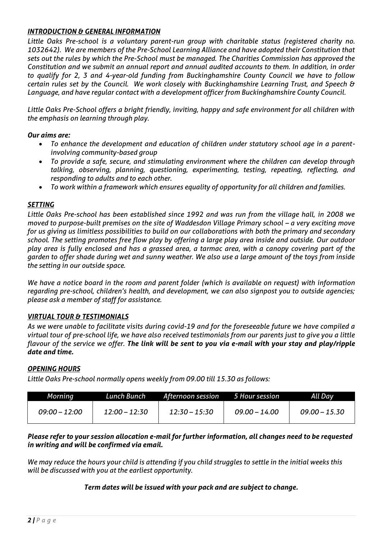## *INTRODUCTION & GENERAL INFORMATION*

*Little Oaks Pre-school is a voluntary parent-run group with charitable status (registered charity no. 1032642). We are members of the Pre-School Learning Alliance and have adopted their Constitution that sets out the rules by which the Pre-School must be managed. The Charities Commission has approved the Constitution and we submit an annual report and annual audited accounts to them. In addition, in order to qualify for 2, 3 and 4-year-old funding from Buckinghamshire County Council we have to follow certain rules set by the Council. We work closely with Buckinghamshire Learning Trust, and Speech & Language, and have regular contact with a development officer from Buckinghamshire County Council.* 

*Little Oaks Pre-School offers a bright friendly, inviting, happy and safe environment for all children with the emphasis on learning through play.*

## *Our aims are:*

- *To enhance the development and education of children under statutory school age in a parentinvolving community-based group*
- *To provide a safe, secure, and stimulating environment where the children can develop through talking, observing, planning, questioning, experimenting, testing, repeating, reflecting, and responding to adults and to each other.*
- *To work within a framework which ensures equality of opportunity for all children and families.*

## *SETTING*

*Little Oaks Pre-school has been established since 1992 and was run from the village hall, in 2008 we moved to purpose-built premises on the site of Waddesdon Village Primary school – a very exciting move for us giving us limitless possibilities to build on our collaborations with both the primary and secondary school. The setting promotes free flow play by offering a large play area inside and outside. Our outdoor play area is fully enclosed and has a grassed area, a tarmac area, with a canopy covering part of the garden to offer shade during wet and sunny weather. We also use a large amount of the toys from inside the setting in our outside space.* 

*We have a notice board in the room and parent folder (which is available on request) with information regarding pre-school, children's health, and development, we can also signpost you to outside agencies; please ask a member of staff for assistance.* 

## *VIRTUAL TOUR & TESTIMONIALS*

*As we were unable to facilitate visits during covid-19 and for the foreseeable future we have compiled a virtual tour of pre-school life, we have also received testimonials from our parents just to give you a little flavour of the service we offer. The link will be sent to you via e-mail with your stay and play/ripple date and time.*

## *OPENING HOURS*

*Little Oaks Pre-school normally opens weekly from 09.00 till 15.30 as follows:*

| Morning         | Lunch Bunch   | Afternoon session 5 Hour session |                 | All Day         |  |
|-----------------|---------------|----------------------------------|-----------------|-----------------|--|
| $09:00 - 12:00$ | 12:00 – 12:30 | 12:30 – 15:30                    | $09.00 - 14.00$ | $09.00 - 15.30$ |  |

## *Please refer to your session allocation e-mail for further information, all changes need to be requested in writing and will be confirmed via email.*

*We may reduce the hours your child is attending if you child struggles to settle in the initial weeks this will be discussed with you at the earliest opportunity.*

## *Term dates will be issued with your pack and are subject to change.*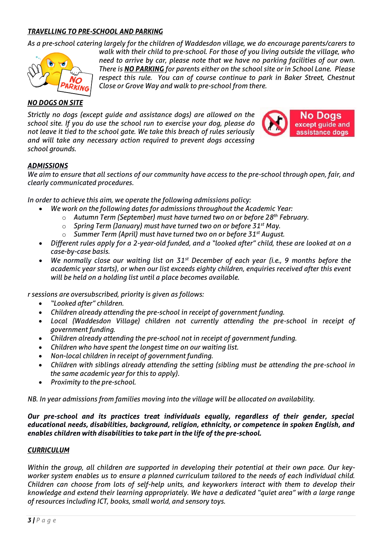## *TRAVELLING TO PRE-SCHOOL AND PARKING*

*As a pre-school catering largely for the children of Waddesdon village, we do encourage parents/carers to* 



*walk with their child to pre-school. For those of you living outside the village, who need to arrive by car, please note that we have no parking facilities of our own. There is NO PARKING for parents either on the school site or in School Lane. Please*  respect this rule. You can of course continue to park in Baker Street, Chestnut *Close or Grove Way and walk to pre-school from there.*

## *NO DOGS ON SITE*

*Strictly no dogs (except guide and assistance dogs) are allowed on the school site. If you do use the school run to exercise your dog, please do not leave it tied to the school gate. We take this breach of rules seriously and will take any necessary action required to prevent dogs accessing school grounds.*



## *ADMISSIONS*

*We aim to ensure that all sections of our community have access to the pre-school through open, fair, and clearly communicated procedures.*

*In order to achieve this aim, we operate the following admissions policy:*

- *We work on the following dates for admissions throughout the Academic Year:*
	- o *Autumn Term (September) must have turned two on or before 28th February.*
	- o *Spring Term (January) must have turned two on or before 31st May.*
	- o *Summer Term (April) must have turned two on or before 31st August.*
- *Different rules apply for a 2-year-old funded, and a "looked after" child, these are looked at on a case-by-case basis.*
- *We normally close our waiting list on 31st December of each year (i.e., 9 months before the academic year starts), or when our list exceeds eighty children, enquiries received after this event will be held on a holding list until a place becomes available.*

*r sessions are oversubscribed, priority is given as follows:*

- *"Looked after" children.*
- *Children already attending the pre-school in receipt of government funding.*
- *Local (Waddesdon Village) children not currently attending the pre-school in receipt of government funding.*
- *Children already attending the pre-school not in receipt of government funding.*
- *Children who have spent the longest time on our waiting list.*
- *Non-local children in receipt of government funding.*
- *Children with siblings already attending the setting (sibling must be attending the pre-school in the same academic year for this to apply).*
- *Proximity to the pre-school.*

*NB. In year admissions from families moving into the village will be allocated on availability.*

*Our pre-school and its practices treat individuals equally, regardless of their gender, special educational needs, disabilities, background, religion, ethnicity, or competence in spoken English, and enables children with disabilities to take part in the life of the pre-school.*

## *CURRICULUM*

*Within the group, all children are supported in developing their potential at their own pace. Our keyworker system enables us to ensure a planned curriculum tailored to the needs of each individual child. Children can choose from lots of self-help units, and keyworkers interact with them to develop their knowledge and extend their learning appropriately. We have a dedicated "quiet area" with a large range of resources including ICT, books, small world, and sensory toys.*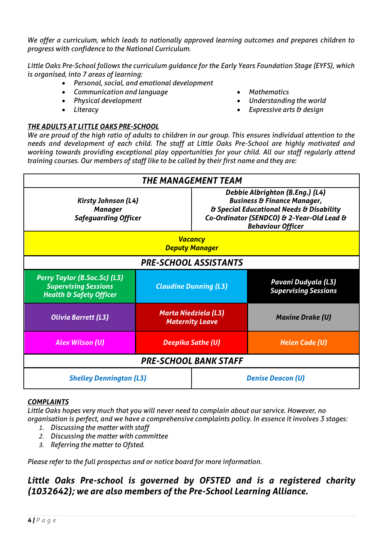*We offer a curriculum, which leads to nationally approved learning outcomes and prepares children to progress with confidence to the National Curriculum.* 

*Little Oaks Pre-School follows the curriculum guidance for the Early Years Foundation Stage (EYFS), which is organised, into 7 areas of learning:*

- *Personal, social, and emotional development*
- *Communication and language*
- *Physical development*
- *Literacy*

## *THE ADULTS AT LITTLE OAKS PRE-SCHOOL*

• *Mathematics*

- *Understanding the world*
- *Expressive arts & design*

*We are proud of the high ratio of adults to children in our group. This ensures individual attention to the needs and development of each child. The staff at Little Oaks Pre-School are highly motivated and working towards providing exceptional play opportunities for your child. All our staff regularly attend training courses. Our members of staff like to be called by their first name and they are:*



## *COMPLAINTS*

*Little Oaks hopes very much that you will never need to complain about our service. However, no organisation is perfect, and we have a comprehensive complaints policy. In essence it involves 3 stages:*

- *1. Discussing the matter with staff*
- *2. Discussing the matter with committee*
- *3. Referring the matter to Ofsted.*

*Please refer to the full prospectus and or notice board for more information.*

## *Little Oaks Pre-school is governed by OFSTED and is a registered charity (1032642); we are also members of the Pre-School Learning Alliance.*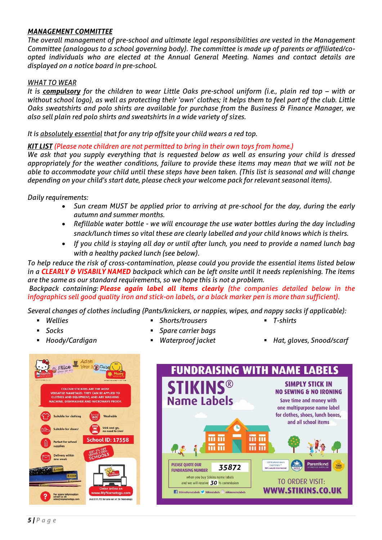## *MANAGEMENT COMMITTEE*

*The overall management of pre-school and ultimate legal responsibilities are vested in the Management Committee (analogous to a school governing body). The committee is made up of parents or affiliated/coopted individuals who are elected at the Annual General Meeting. Names and contact details are displayed on a notice board in pre-school.*

## *WHAT TO WEAR*

*It is compulsory* for the children to wear Little Oaks pre-school uniform (i.e., plain red top – with or *without school logo), as well as protecting their 'own' clothes; it helps them to feel part of the club. Little Oaks sweatshirts and polo shirts are available for purchase from the Business & Finance Manager, we also sell plain red polo shirts and sweatshirts in a wide variety of sizes.*

*It is absolutely essential that for any trip offsite your child wears a red top.*

## *KIT LIST (Please note children are not permitted to bring in their own toys from home.)*

We ask that you supply everything that is requested below as well as ensuring your child is dressed *appropriately for the weather conditions, failure to provide these items may mean that we will not be able to accommodate your child until these steps have been taken. (This list is seasonal and will change depending on your child's start date, please check your welcome pack for relevant seasonal items).*

*Daily requirements:*

- *Sun cream MUST be applied prior to arriving at pre-school for the day, during the early autumn and summer months.*
- *Refillable water bottle - we will encourage the use water bottles during the day including snack/lunch times so vital these are clearly labelled and your child knows which is theirs.*
- *If you child is staying all day or until after lunch, you need to provide a named lunch bag with a healthy packed lunch (see below).*

*To help reduce the risk of cross-contamination, please could you provide the essential items listed below in a CLEARLY & VISABILY NAMED backpack which can be left onsite until it needs replenishing. The items are the same as our standard requirements, so we hope this is not a problem.*

*Backpack containing: Please again label all items clearly (the companies detailed below in the infographics sell good quality iron and stick-on labels, or a black marker pen is more than sufficient).*

*Several changes of clothes including (Pants/knickers, or nappies, wipes, and nappy sacks if applicable):*

▪ *Shorts/trousers*

- *Wellies*
- *Socks*
- *Spare carrier bags*
- *T-shirts*
- 
- 
- *Hoody/Cardigan Waterproof jacket Hat, gloves, Snood/scarf*



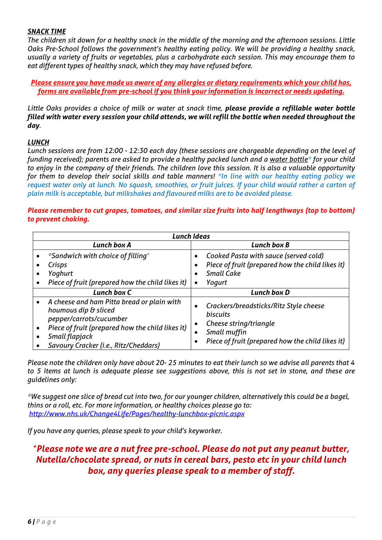## *SNACK TIME*

*The children sit down for a healthy snack in the middle of the morning and the afternoon sessions. Little Oaks Pre-School follows the government's healthy eating policy. We will be providing a healthy snack, usually a variety of fruits or vegetables, plus a carbohydrate each session. This may encourage them to eat different types of healthy snack, which they may have refused before.*

*Please ensure you have made us aware of any allergies or dietary requirements which your child has, forms are available from pre-school if you think your information is incorrect or needs updating.*

*Little Oaks provides a choice of milk or water at snack time, please provide a refillable water bottle filled with water every session your child attends, we will refill the bottle when needed throughout the day.*

## *LUNCH*

*Lunch sessions are from 12:00 - 12:30 each day (these sessions are chargeable depending on the level of funding received); parents are asked to provide a healthy packed lunch and a water bottle\* for your child to enjoy in the company of their friends. The children love this session. It is also a valuable opportunity for them to develop their social skills and table manners! \*In line with our healthy eating policy we request water only at lunch. No squash, smoothies, or fruit juices. If your child would rather a carton of plain milk is acceptable, but milkshakes and flavoured milks are to be avoided please.*

## *Please remember to cut grapes, tomatoes, and similar size fruits into half lengthways (top to bottom) to prevent choking.*

| <b>Lunch Ideas</b> |                                                                                                                                                                                                              |                             |                                                                                                                                                         |  |  |
|--------------------|--------------------------------------------------------------------------------------------------------------------------------------------------------------------------------------------------------------|-----------------------------|---------------------------------------------------------------------------------------------------------------------------------------------------------|--|--|
|                    | <b>Lunch box A</b>                                                                                                                                                                                           |                             | Lunch box B                                                                                                                                             |  |  |
|                    | <i>*Sandwich with choice of filling*</i><br>Crisps<br>Yoghurt<br>Piece of fruit (prepared how the child likes it)                                                                                            | $\bullet$<br>$\bullet$<br>٠ | Cooked Pasta with sauce (served cold)<br>Piece of fruit (prepared how the child likes it)<br><b>Small Cake</b><br>Yogurt                                |  |  |
|                    | Lunch box C                                                                                                                                                                                                  |                             | Lunch box D                                                                                                                                             |  |  |
| $\bullet$          | A cheese and ham Pitta bread or plain with<br>houmous dip & sliced<br>pepper/carrots/cucumber<br>Piece of fruit (prepared how the child likes it)<br>Small flapjack<br>Savoury Cracker (i.e., Ritz/Cheddars) |                             | Crackers/breadsticks/Ritz Style cheese<br><b>biscuits</b><br>Cheese string/triangle<br>Small muffin<br>Piece of fruit (prepared how the child likes it) |  |  |

*Please note the children only have about 20- 25 minutes to eat their lunch so we advise all parents that 4 to 5 items at lunch is adequate please see suggestions above, this is not set in stone, and these are guidelines only:*

*\*We suggest one slice of bread cut into two, for our younger children, alternatively this could be a bagel, thins or a roll, etc. For more information, or healthy choices please go to: <http://www.nhs.uk/Change4Life/Pages/healthy-lunchbox-picnic.aspx>*

*If you have any queries, please speak to your child's keyworker.*

## *<sup>+</sup>Please note we are a nut free pre-school. Please do not put any peanut butter, Nutella/chocolate spread, or nuts in cereal bars, pesto etc in your child lunch box, any queries please speak to a member of staff.*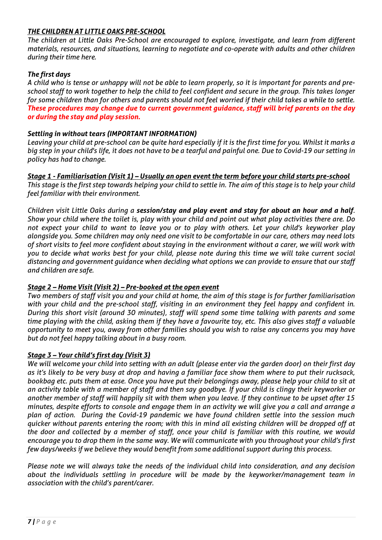## *THE CHILDREN AT LITTLE OAKS PRE-SCHOOL*

*The children at Little Oaks Pre-School are encouraged to explore, investigate, and learn from different materials, resources, and situations, learning to negotiate and co-operate with adults and other children during their time here.*

## *The first days*

*A child who is tense or unhappy will not be able to learn properly, so it is important for parents and preschool staff to work together to help the child to feel confident and secure in the group. This takes longer for some children than for others and parents should not feel worried if their child takes a while to settle. These procedures may change due to current government guidance, staff will brief parents on the day or during the stay and play session.*

## *Settling in without tears (IMPORTANT INFORMATION)*

*Leaving your child at pre-school can be quite hard especially if it is the first time for you. Whilst it marks a big step in your child's life, it does not have to be a tearful and painful one. Due to Covid-19 our setting in policy has had to change.*

*Stage 1 - Familiarisation (Visit 1) – Usually an open event the term before your child starts pre-school This stage is the first step towards helping your child to settle in. The aim of this stage is to help your child feel familiar with their environment.*

*Children visit Little Oaks during a session/stay and play event and stay for about an hour and a half. Show your child where the toilet is, play with your child and point out what play activities there are. Do not expect your child to want to leave you or to play with others. Let your child's keyworker play alongside you. Some children may only need one visit to be comfortable in our care, others may need lots of short visits to feel more confident about staying in the environment without a carer, we will work with you to decide what works best for your child, please note during this time we will take current social distancing and government guidance when deciding what options we can provide to ensure that our staff and children are safe.*

## *Stage 2 – Home Visit (Visit 2) – Pre-booked at the open event*

*Two members of staff visit you and your child at home, the aim of this stage is for further familiarisation with your child and the pre-school staff, visiting in an environment they feel happy and confident in. During this short visit (around 30 minutes), staff will spend some time talking with parents and some time playing with the child, asking them if they have a favourite toy, etc. This also gives staff a valuable opportunity to meet you, away from other families should you wish to raise any concerns you may have but do not feel happy talking about in a busy room.* 

## *Stage 3 – Your child's first day (Visit 3)*

*We will welcome your child into setting with an adult (please enter via the garden door) on their first day as it's likely to be very busy at drop and having a familiar face show them where to put their rucksack, bookbag etc. puts them at ease. Once you have put their belongings away, please help your child to sit at an activity table with a member of staff and then say goodbye. If your child is clingy their keyworker or another member of staff will happily sit with them when you leave. If they continue to be upset after 15 minutes, despite efforts to console and engage them in an activity we will give you a call and arrange a plan of action. During the Covid-19 pandemic we have found children settle into the session much quicker without parents entering the room; with this in mind all existing children will be dropped off at the door and collected by a member of staff, once your child is familiar with this routine, we would encourage you to drop them in the same way. We will communicate with you throughout your child's first few days/weeks if we believe they would benefit from some additional support during this process.*

*Please note we will always take the needs of the individual child into consideration, and any decision about the individuals settling in procedure will be made by the keyworker/management team in association with the child's parent/carer.*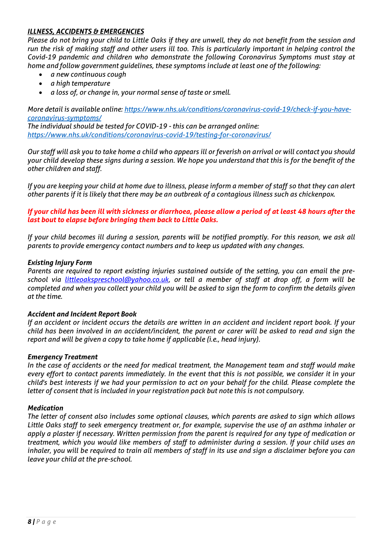## *ILLNESS, ACCIDENTS & EMERGENCIES*

*Please do not bring your child to Little Oaks if they are unwell, they do not benefit from the session and run the risk of making staff and other users ill too. This is particularly important in helping control the Covid-19 pandemic and children who demonstrate the following Coronavirus Symptoms must stay at home and follow government guidelines, these symptoms include at least one of the following:*

- *a new continuous cough*
- *a high temperature*
- *a loss of, or change in, your normal sense of taste or smell.*

*More detail is available online[: https://www.nhs.uk/conditions/coronavirus-covid-19/check-if-you-have](https://www.nhs.uk/conditions/coronavirus-covid-19/check-if-you-have-coronavirus-symptoms/)[coronavirus-symptoms/](https://www.nhs.uk/conditions/coronavirus-covid-19/check-if-you-have-coronavirus-symptoms/)*

*The individual should be tested for COVID-19 - this can be arranged online: <https://www.nhs.uk/conditions/coronavirus-covid-19/testing-for-coronavirus/>*

*Our staff will ask you to take home a child who appears ill or feverish on arrival or will contact you should your child develop these signs during a session. We hope you understand that this is for the benefit of the other children and staff.* 

*If you are keeping your child at home due to illness, please inform a member of staff so that they can alert other parents if it is likely that there may be an outbreak of a contagious illness such as chickenpox.*

## *If your child has been ill with sickness or diarrhoea, please allow a period of at least 48 hours after the last bout to elapse before bringing them back to Little Oaks.*

*If your child becomes ill during a session, parents will be notified promptly. For this reason, we ask all parents to provide emergency contact numbers and to keep us updated with any changes.*

## *Existing Injury Form*

*Parents are required to report existing injuries sustained outside of the setting, you can email the preschool via [littleoakspreschool@yahoo.co.uk,](mailto:littleoakspreschool@yahoo.co.uk) or tell a member of staff at drop off, a form will be completed and when you collect your child you will be asked to sign the form to confirm the details given at the time.*

## *Accident and Incident Report Book*

*If an accident or incident occurs the details are written in an accident and incident report book. If your child has been involved in an accident/incident, the parent or carer will be asked to read and sign the report and will be given a copy to take home if applicable (i.e., head injury).*

## *Emergency Treatment*

*In the case of accidents or the need for medical treatment, the Management team and staff would make every effort to contact parents immediately. In the event that this is not possible, we consider it in your child's best interests if we had your permission to act on your behalf for the child. Please complete the letter of consent that is included in your registration pack but note this is not compulsory.*

## *Medication*

*The letter of consent also includes some optional clauses, which parents are asked to sign which allows Little Oaks staff to seek emergency treatment or, for example, supervise the use of an asthma inhaler or apply a plaster if necessary. Written permission from the parent is required for any type of medication or treatment, which you would like members of staff to administer during a session. If your child uses an inhaler, you will be required to train all members of staff in its use and sign a disclaimer before you can leave your child at the pre-school.*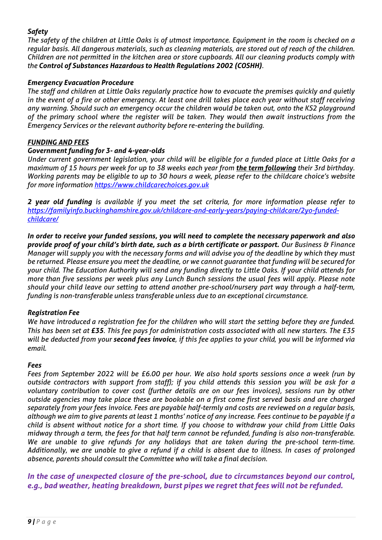## *Safety*

*The safety of the children at Little Oaks is of utmost importance. Equipment in the room is checked on a regular basis. All dangerous materials, such as cleaning materials, are stored out of reach of the children. Children are not permitted in the kitchen area or store cupboards. All our cleaning products comply with the Control of Substances Hazardous to Health Regulations 2002 (COSHH).* 

## *Emergency Evacuation Procedure*

*The staff and children at Little Oaks regularly practice how to evacuate the premises quickly and quietly in the event of a fire or other emergency. At least one drill takes place each year without staff receiving any warning. Should such an emergency occur the children would be taken out, onto the KS2 playground of the primary school where the register will be taken. They would then await instructions from the Emergency Services or the relevant authority before re-entering the building.*

## *FUNDING AND FEES*

## *Government funding for 3- and 4-year-olds*

*Under current government legislation, your child will be eligible for a funded place at Little Oaks for a maximum of 15 hours per week for up to 38 weeks each year from the term following their 3rd birthday. Working parents may be eligible to up to 30 hours a week, please refer to the childcare choice's website for more information [https://www.childcarechoices.gov.uk](https://www.childcarechoices.gov.uk/)*

*2 year old funding is available if you meet the set criteria, for more information please refer to [https://familyinfo.buckinghamshire.gov.uk/childcare-and-early-years/paying-childcare/2yo-funded](https://familyinfo.buckinghamshire.gov.uk/childcare-and-early-years/paying-childcare/2yo-funded-childcare/)[childcare/](https://familyinfo.buckinghamshire.gov.uk/childcare-and-early-years/paying-childcare/2yo-funded-childcare/)*

*In order to receive your funded sessions, you will need to complete the necessary paperwork and also provide proof of your child's birth date, such as a birth certificate or passport. Our Business & Finance Manager will supply you with the necessary forms and will advise you of the deadline by which they must be returned. Please ensure you meet the deadline, or we cannot guarantee that funding will be secured for your child. The Education Authority will send any funding directly to Little Oaks. If your child attends for more than five sessions per week plus any Lunch Bunch sessions the usual fees will apply. Please note should your child leave our setting to attend another pre-school/nursery part way through a half-term, funding is non-transferable unless transferable unless due to an exceptional circumstance.*

## *Registration Fee*

*We have introduced a registration fee for the children who will start the setting before they are funded. This has been set at £35. This fee pays for administration costs associated with all new starters. The £35 will be deducted from your second fees invoice, if this fee applies to your child, you will be informed via email.*

## *Fees*

*Fees from September 2022 will be £6.00 per hour. We also hold sports sessions once a week (run by outside contractors with support from staff); if you child attends this session you will be ask for a voluntary contribution to cover cost (further details are on our fees invoices), sessions run by other outside agencies may take place these are bookable on a first come first served basis and are charged separately from your fees invoice. Fees are payable half-termly and costs are reviewed on a regular basis, although we aim to give parents at least 1 months' notice of any increase. Fees continue to be payable if a child is absent without notice for a short time. If you choose to withdraw your child from Little Oaks midway through a term, the fees for that half term cannot be refunded, funding is also non-transferable. We are unable to give refunds for any holidays that are taken during the pre-school term-time. Additionally, we are unable to give a refund if a child is absent due to illness. In cases of prolonged absence, parents should consult the Committee who will take a final decision.*

*In the case of unexpected closure of the pre-school, due to circumstances beyond our control, e.g., bad weather, heating breakdown, burst pipes we regret that fees will not be refunded.*